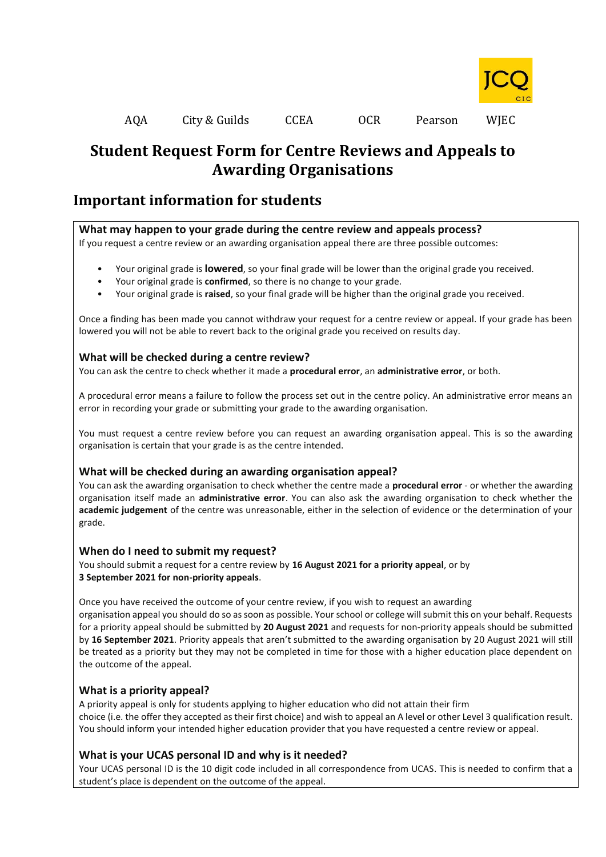

# **Student Request Form for Centre Reviews and Appeals to Awarding Organisations**

## **Important information for students**

### **What may happen to your grade during the centre review and appeals process?**

If you request a centre review or an awarding organisation appeal there are three possible outcomes:

- Your original grade is **lowered**, so your final grade will be lower than the original grade you received.
- Your original grade is **confirmed**, so there is no change to your grade.
- Your original grade is **raised**, so your final grade will be higher than the original grade you received.

Once a finding has been made you cannot withdraw your request for a centre review or appeal. If your grade has been lowered you will not be able to revert back to the original grade you received on results day.

### **What will be checked during a centre review?**

You can ask the centre to check whether it made a **procedural error**, an **administrative error**, or both.

A procedural error means a failure to follow the process set out in the centre policy. An administrative error means an error in recording your grade or submitting your grade to the awarding organisation.

You must request a centre review before you can request an awarding organisation appeal. This is so the awarding organisation is certain that your grade is as the centre intended.

## **What will be checked during an awarding organisation appeal?**

You can ask the awarding organisation to check whether the centre made a **procedural error** - or whether the awarding organisation itself made an **administrative error**. You can also ask the awarding organisation to check whether the **academic judgement** of the centre was unreasonable, either in the selection of evidence or the determination of your grade.

### **When do I need to submit my request?**

You should submit a request for a centre review by **16 August 2021 for a priority appeal**, or by **3 September 2021 for non-priority appeals**.

Once you have received the outcome of your centre review, if you wish to request an awarding organisation appeal you should do so as soon as possible. Your school or college will submit this on your behalf. Requests for a priority appeal should be submitted by **20 August 2021** and requests for non-priority appeals should be submitted by **16 September 2021**. Priority appeals that aren't submitted to the awarding organisation by 20 August 2021 will still be treated as a priority but they may not be completed in time for those with a higher education place dependent on the outcome of the appeal.

## **What is a priority appeal?**

A priority appeal is only for students applying to higher education who did not attain their firm choice (i.e. the offer they accepted as their first choice) and wish to appeal an A level or other Level 3 qualification result. You should inform your intended higher education provider that you have requested a centre review or appeal.

## **What is your UCAS personal ID and why is it needed?**

Your UCAS personal ID is the 10 digit code included in all correspondence from UCAS. This is needed to confirm that a student's place is dependent on the outcome of the appeal.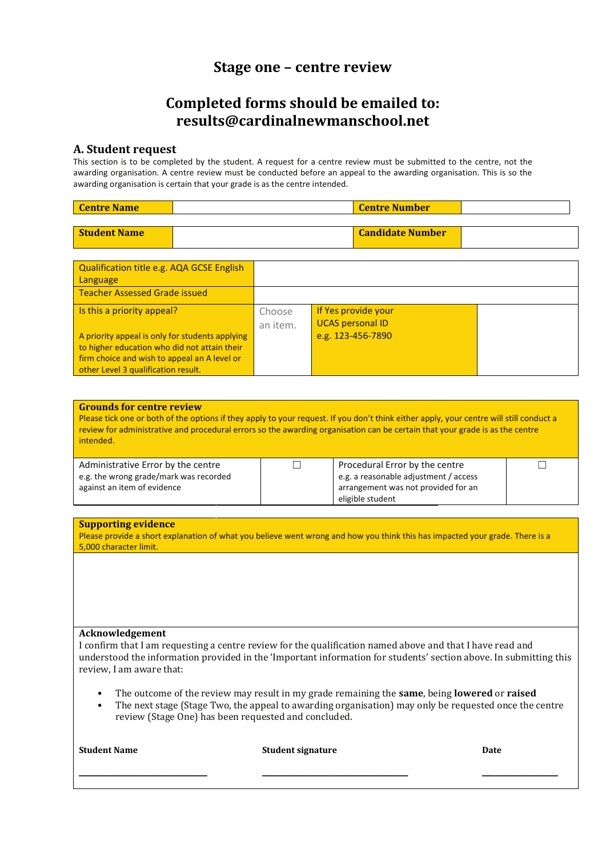## **Stage one – centre review**

## **Completed forms should be emailed to: results@cardinalnewmanschool.net**

### **A. Student request**

This section is to be completed by the student. A request for a centre review must be submitted to the centre, not the awarding organisation. A centre review must be conducted before an appeal to the awarding organisation. This is so the awarding organisation is certain that your grade is as the centre intended.

**Student Name Candidate Number** 

| <b>Centre Name</b> | <b>Centre Number</b> |  |
|--------------------|----------------------|--|
|                    |                      |  |

| Qualification title e.g. AQA GCSE English       |          |                         |  |
|-------------------------------------------------|----------|-------------------------|--|
| Language                                        |          |                         |  |
| <b>Teacher Assessed Grade issued</b>            |          |                         |  |
| Is this a priority appeal?                      | Choose   | If Yes provide your     |  |
|                                                 | an item. | <b>UCAS personal ID</b> |  |
| A priority appeal is only for students applying |          | e.g. 123-456-7890       |  |
| to higher education who did not attain their    |          |                         |  |
| firm choice and wish to appeal an A level or    |          |                         |  |
| other Level 3 qualification result.             |          |                         |  |

| <b>Grounds for centre review</b><br>Please tick one or both of the options if they apply to your request. If you don't think either apply, your centre will still conduct a<br>review for administrative and procedural errors so the awarding organisation can be certain that your grade is as the centre<br>intended. |  |                                                                                                                                    |  |  |  |
|--------------------------------------------------------------------------------------------------------------------------------------------------------------------------------------------------------------------------------------------------------------------------------------------------------------------------|--|------------------------------------------------------------------------------------------------------------------------------------|--|--|--|
| Administrative Error by the centre<br>e.g. the wrong grade/mark was recorded<br>against an item of evidence                                                                                                                                                                                                              |  | Procedural Error by the centre<br>e.g. a reasonable adjustment / access<br>arrangement was not provided for an<br>eligible student |  |  |  |

#### **Supporting evidence**

Please provide a short explanation of what you believe went wrong and how you think this has impacted your grade. There is a 5,000 character limit.

#### **Acknowledgement**

I confirm that I am requesting a centre review for the qualification named above and that I have read and understood the information provided in the 'Important information for students' section above. In submitting this review, I am aware that:

• The outcome of the review may result in my grade remaining the **same**, being **lowered** or **raised**

**\_\_\_\_\_\_\_\_\_\_\_\_\_\_\_\_\_\_\_\_\_\_ \_\_\_\_\_\_\_\_\_\_\_\_\_\_\_\_\_\_\_\_\_\_\_\_\_ \_\_\_\_\_\_\_\_\_\_\_\_\_**

• The next stage (Stage Two, the appeal to awarding organisation) may only be requested once the centre review (Stage One) has been requested and concluded.

**Student Name Student signature Date**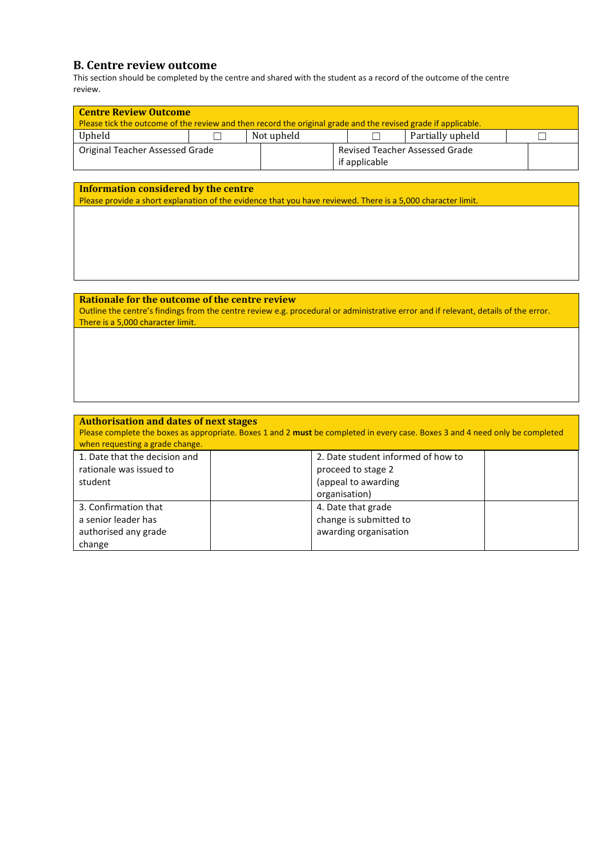## **B. Centre review outcome**

This section should be completed by the centre and shared with the student as a record of the outcome of the centre review.

| <b>Centre Review Outcome</b><br>Please tick the outcome of the review and then record the original grade and the revised grade if applicable.        |                                                                                    |            |  |                  |  |
|------------------------------------------------------------------------------------------------------------------------------------------------------|------------------------------------------------------------------------------------|------------|--|------------------|--|
| Upheld                                                                                                                                               |                                                                                    | Not upheld |  | Partially upheld |  |
|                                                                                                                                                      | Revised Teacher Assessed Grade<br>Original Teacher Assessed Grade<br>if applicable |            |  |                  |  |
| Information considered by the centre<br>Please provide a short explanation of the evidence that you have reviewed. There is a 5,000 character limit. |                                                                                    |            |  |                  |  |

### **Rationale for the outcome of the centre review** Outline the centre's findings from the centre review e.g. procedural or administrative error and if relevant, details of the error. There is a 5,000 character limit.

| <b>Authorisation and dates of next stages</b><br>when requesting a grade change. | Please complete the boxes as appropriate. Boxes 1 and 2 must be completed in every case. Boxes 3 and 4 need only be completed |
|----------------------------------------------------------------------------------|-------------------------------------------------------------------------------------------------------------------------------|
| 1. Date that the decision and<br>rationale was issued to                         | 2. Date student informed of how to                                                                                            |
| student                                                                          | proceed to stage 2<br>(appeal to awarding                                                                                     |
|                                                                                  | organisation)                                                                                                                 |
| 3. Confirmation that                                                             | 4. Date that grade                                                                                                            |
| a senior leader has                                                              | change is submitted to                                                                                                        |
| authorised any grade                                                             | awarding organisation                                                                                                         |
| change                                                                           |                                                                                                                               |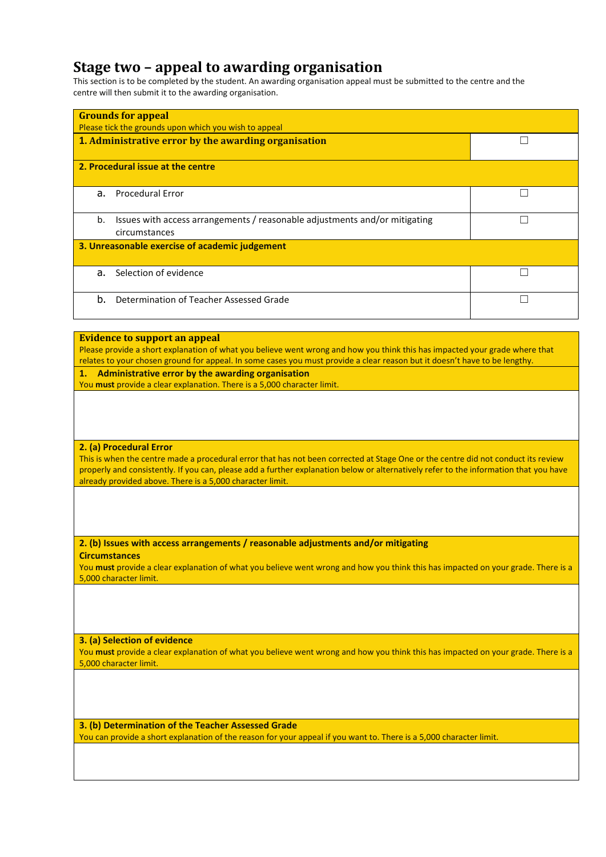## **Stage two – appeal to awarding organisation**

This section is to be completed by the student. An awarding organisation appeal must be submitted to the centre and the centre will then submit it to the awarding organisation.

| <b>Grounds for appeal</b><br>Please tick the grounds upon which you wish to appeal                |  |  |  |  |
|---------------------------------------------------------------------------------------------------|--|--|--|--|
| 1. Administrative error by the awarding organisation                                              |  |  |  |  |
| 2. Procedural issue at the centre                                                                 |  |  |  |  |
| <b>Procedural Error</b><br>a.                                                                     |  |  |  |  |
| Issues with access arrangements / reasonable adjustments and/or mitigating<br>b.<br>circumstances |  |  |  |  |
| 3. Unreasonable exercise of academic judgement                                                    |  |  |  |  |
| Selection of evidence<br>a.                                                                       |  |  |  |  |
| b.<br>Determination of Teacher Assessed Grade                                                     |  |  |  |  |

#### **Evidence to support an appeal**

Please provide a short explanation of what you believe went wrong and how you think this has impacted your grade where that relates to your chosen ground for appeal. In some cases you must provide a clear reason but it doesn't have to be lengthy. **1. Administrative error by the awarding organisation** You **must** provide a clear explanation. There is a 5,000 character limit.

**2. (a) Procedural Error**

This is when the centre made a procedural error that has not been corrected at Stage One or the centre did not conduct its review properly and consistently. If you can, please add a further explanation below or alternatively refer to the information that you have already provided above. There is a 5,000 character limit.

**2. (b) Issues with access arrangements / reasonable adjustments and/or mitigating Circumstances**

You **must** provide a clear explanation of what you believe went wrong and how you think this has impacted on your grade. There is a 5,000 character limit.

**3. (a) Selection of evidence**

You must provide a clear explanation of what you believe went wrong and how you think this has impacted on your grade. There is a 5,000 character limit.

**3. (b) Determination of the Teacher Assessed Grade** You can provide a short explanation of the reason for your appeal if you want to. There is a 5,000 character limit.